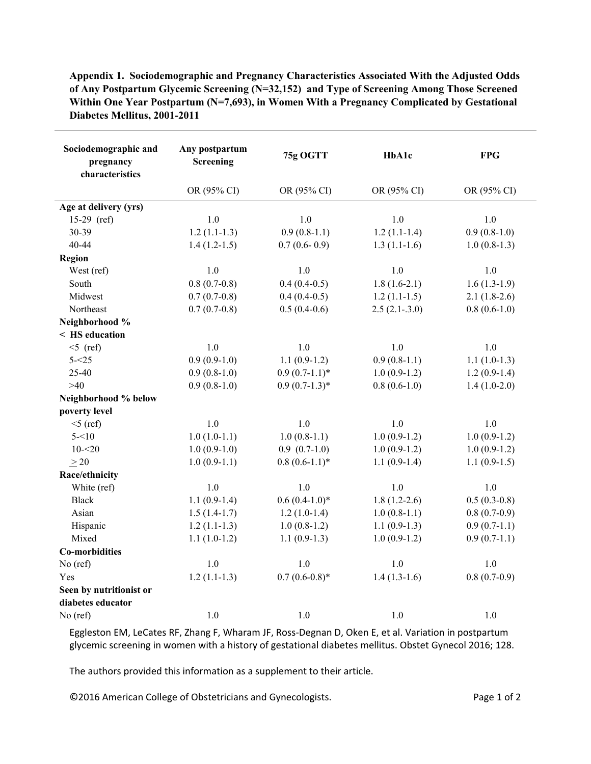| Sociodemographic and<br>pregnancy<br>characteristics | Any postpartum<br><b>Screening</b> | 75g OGTT         | <b>HbA1c</b>    | <b>FPG</b>     |
|------------------------------------------------------|------------------------------------|------------------|-----------------|----------------|
|                                                      | OR (95% CI)                        | OR (95% CI)      | OR (95% CI)     | OR (95% CI)    |
| Age at delivery (yrs)                                |                                    |                  |                 |                |
| 15-29 (ref)                                          | 1.0                                | 1.0              | 1.0             | 1.0            |
| 30-39                                                | $1.2(1.1-1.3)$                     | $0.9(0.8-1.1)$   | $1.2(1.1-1.4)$  | $0.9(0.8-1.0)$ |
| 40-44                                                | $1.4(1.2-1.5)$                     | $0.7(0.6-0.9)$   | $1.3(1.1-1.6)$  | $1.0(0.8-1.3)$ |
| Region                                               |                                    |                  |                 |                |
| West (ref)                                           | 1.0                                | 1.0              | 1.0             | 1.0            |
| South                                                | $0.8(0.7-0.8)$                     | $0.4(0.4-0.5)$   | $1.8(1.6-2.1)$  | $1.6(1.3-1.9)$ |
| Midwest                                              | $0.7(0.7-0.8)$                     | $0.4(0.4-0.5)$   | $1.2(1.1-1.5)$  | $2.1(1.8-2.6)$ |
| Northeast                                            | $0.7(0.7-0.8)$                     | $0.5(0.4-0.6)$   | $2.5(2.1-.3.0)$ | $0.8(0.6-1.0)$ |
| Neighborhood %                                       |                                    |                  |                 |                |
| < HS education                                       |                                    |                  |                 |                |
| $<$ 5 (ref)                                          | 1.0                                | 1.0              | 1.0             | 1.0            |
| $5 - 25$                                             | $0.9(0.9-1.0)$                     | $1.1(0.9-1.2)$   | $0.9(0.8-1.1)$  | $1.1(1.0-1.3)$ |
| 25-40                                                | $0.9(0.8-1.0)$                     | $0.9(0.7-1.1)^*$ | $1.0(0.9-1.2)$  | $1.2(0.9-1.4)$ |
| $>40$                                                | $0.9(0.8-1.0)$                     | $0.9(0.7-1.3)*$  | $0.8(0.6-1.0)$  | $1.4(1.0-2.0)$ |
| Neighborhood % below                                 |                                    |                  |                 |                |
| poverty level                                        |                                    |                  |                 |                |
| $5$ (ref)                                            | 1.0                                | 1.0              | 1.0             | $1.0\,$        |
| $5 - 10$                                             | $1.0(1.0-1.1)$                     | $1.0(0.8-1.1)$   | $1.0(0.9-1.2)$  | $1.0(0.9-1.2)$ |
| $10 - 20$                                            | $1.0(0.9-1.0)$                     | $0.9(0.7-1.0)$   | $1.0(0.9-1.2)$  | $1.0(0.9-1.2)$ |
| $\geq 20$                                            | $1.0(0.9-1.1)$                     | $0.8(0.6-1.1)$ * | $1.1(0.9-1.4)$  | $1.1(0.9-1.5)$ |
| Race/ethnicity                                       |                                    |                  |                 |                |
| White (ref)                                          | 1.0                                | 1.0              | 1.0             | 1.0            |
| <b>Black</b>                                         | $1.1(0.9-1.4)$                     | $0.6(0.4-1.0)*$  | $1.8(1.2-2.6)$  | $0.5(0.3-0.8)$ |
| Asian                                                | $1.5(1.4-1.7)$                     | $1.2(1.0-1.4)$   | $1.0(0.8-1.1)$  | $0.8(0.7-0.9)$ |
| Hispanic                                             | $1.2(1.1-1.3)$                     | $1.0(0.8-1.2)$   | $1.1(0.9-1.3)$  | $0.9(0.7-1.1)$ |
| Mixed                                                | $1.1(1.0-1.2)$                     | $1.1(0.9-1.3)$   | $1.0(0.9-1.2)$  | $0.9(0.7-1.1)$ |
| <b>Co-morbidities</b>                                |                                    |                  |                 |                |
| No (ref)                                             | 1.0                                | 1.0              | 1.0             | 1.0            |
| Yes                                                  | $1.2(1.1-1.3)$                     | $0.7(0.6-0.8)$ * | $1.4(1.3-1.6)$  | $0.8(0.7-0.9)$ |
| Seen by nutritionist or                              |                                    |                  |                 |                |
| diabetes educator                                    |                                    |                  |                 |                |
| $No$ (ref)                                           | 1.0                                | 1.0              | 1.0             | $1.0\,$        |

**Appendix 1. Sociodemographic and Pregnancy Characteristics Associated With the Adjusted Odds of Any Postpartum Glycemic Screening (N=32,152) and Type of Screening Among Those Screened Within One Year Postpartum (N=7,693), in Women With a Pregnancy Complicated by Gestational Diabetes Mellitus, 2001-2011**

Eggleston EM, LeCates RF, Zhang F, Wharam JF, Ross‐Degnan D, Oken E, et al. Variation in postpartum glycemic screening in women with a history of gestational diabetes mellitus. Obstet Gynecol 2016; 128.

The authors provided this information as a supplement to their article.

©2016 American College of Obstetricians and Gynecologists. The example of 2